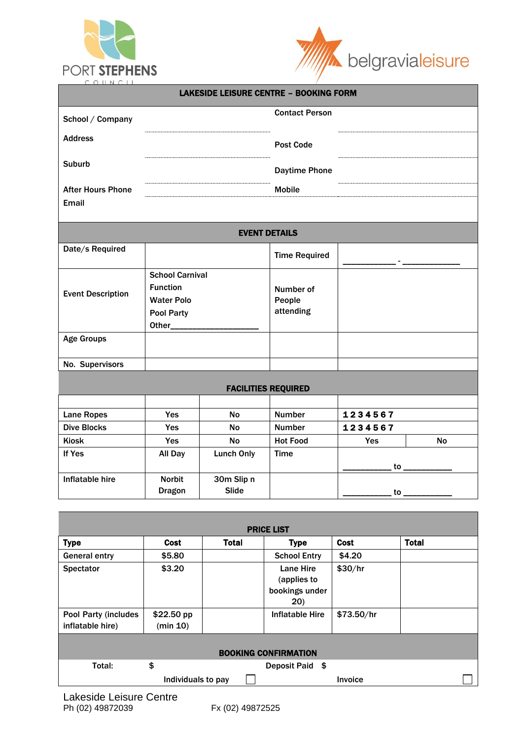



| COUNCIL                                  |                                                                              |                                               |                                  |               |           |  |
|------------------------------------------|------------------------------------------------------------------------------|-----------------------------------------------|----------------------------------|---------------|-----------|--|
|                                          |                                                                              | <b>LAKESIDE LEISURE CENTRE - BOOKING FORM</b> |                                  |               |           |  |
| School / Company                         |                                                                              |                                               | <b>Contact Person</b>            |               |           |  |
| <b>Address</b>                           |                                                                              |                                               | <b>Post Code</b>                 |               |           |  |
| <b>Suburb</b>                            |                                                                              |                                               | <b>Daytime Phone</b>             |               |           |  |
| <b>After Hours Phone</b><br><b>Email</b> |                                                                              |                                               | <b>Mobile</b>                    |               |           |  |
|                                          |                                                                              | <b>EVENT DETAILS</b>                          |                                  |               |           |  |
| Date/s Required                          |                                                                              |                                               | <b>Time Required</b>             |               |           |  |
| <b>Event Description</b>                 | <b>School Carnival</b><br><b>Function</b><br><b>Water Polo</b><br>Pool Party |                                               | Number of<br>People<br>attending |               |           |  |
| <b>Age Groups</b>                        |                                                                              |                                               |                                  |               |           |  |
| No. Supervisors                          |                                                                              |                                               |                                  |               |           |  |
|                                          |                                                                              | <b>FACILITIES REQUIRED</b>                    |                                  |               |           |  |
|                                          |                                                                              |                                               |                                  |               |           |  |
| <b>Lane Ropes</b>                        | Yes                                                                          | <b>No</b>                                     | <b>Number</b>                    | 1234567       |           |  |
| <b>Dive Blocks</b>                       | Yes                                                                          | <b>No</b>                                     | <b>Number</b>                    | 1234567       |           |  |
| <b>Kiosk</b>                             | Yes                                                                          | <b>No</b>                                     | <b>Hot Food</b>                  | Yes           | <b>No</b> |  |
| If Yes                                   | All Day                                                                      | <b>Lunch Only</b>                             | <b>Time</b>                      | $\mathsf{to}$ |           |  |
| Inflatable hire                          | <b>Norbit</b><br><b>Dragon</b>                                               | 30m Slip n<br><b>Slide</b>                    |                                  | $\mathsf{to}$ |           |  |

|                                                 |                        |              | <b>PRICE LIST</b>                                  |            |              |  |
|-------------------------------------------------|------------------------|--------------|----------------------------------------------------|------------|--------------|--|
| <b>Type</b>                                     | <b>Cost</b>            | <b>Total</b> | <b>Type</b>                                        | Cost       | <b>Total</b> |  |
| <b>General entry</b>                            | \$5.80                 |              | <b>School Entry</b>                                | \$4.20     |              |  |
| <b>Spectator</b>                                | \$3.20                 |              | Lane Hire<br>(applies to<br>bookings under<br>(20) | \$30/hr    |              |  |
| <b>Pool Party (includes</b><br>inflatable hire) | \$22.50 pp<br>(min 10) |              | Inflatable Hire                                    | \$73.50/hr |              |  |
|                                                 |                        |              | <b>BOOKING CONFIRMATION</b>                        |            |              |  |
| Total:                                          | \$                     |              | Deposit Paid \$                                    |            |              |  |
|                                                 | Individuals to pay     |              |                                                    | Invoice    |              |  |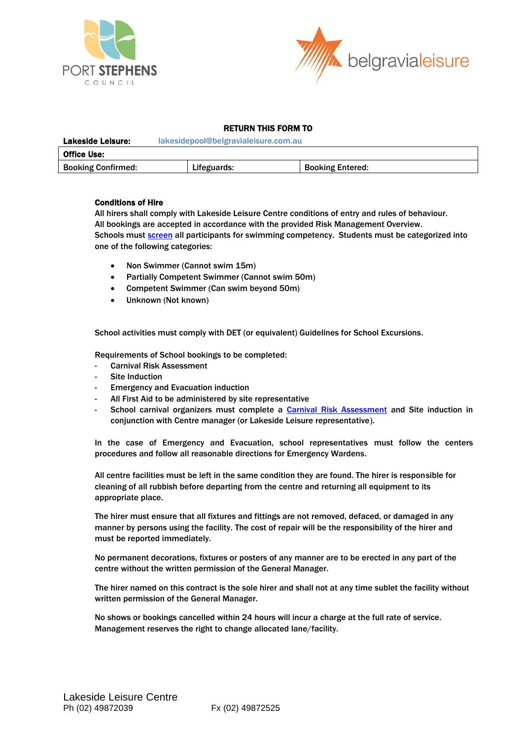



# RETURN THIS FORM TO

| <b>Lakeside Leisure:</b>  | lakesidepool@belgravialeisure.com.au |                         |  |  |  |
|---------------------------|--------------------------------------|-------------------------|--|--|--|
| <b>Office Use:</b>        |                                      |                         |  |  |  |
| <b>Booking Confirmed:</b> | Lifeguards:                          | <b>Booking Entered:</b> |  |  |  |

# Conditions of Hire

All hirers shall comply with Lakeside Leisure Centre conditions of entry and rules of behaviour. All bookings are accepted in accordance with the provided Risk Management Overview. Schools must [screen](../Desktop/Microsoft%20Office%202013/Belgravia%20Paperwork/AppData/Local/Microsoft/Windows/Temporary%20Internet%20Files/AppData/Local/Microsoft/Windows/Eurobodalla/Schools/Schools/Downloads/Suggested%20Student%20Screening.doc) all participants for swimming competency. Students must be categorized into one of the following categories:

- Non Swimmer (Cannot swim 15m)
- Partially Competent Swimmer (Cannot swim 50m)
- Competent Swimmer (Can swim beyond 50m)
- Unknown (Not known)

School activities must comply with DET (or equivalent) Guidelines for School Excursions.

Requirements of School bookings to be completed:

- Carnival Risk Assessment
- Site Induction
- **Emergency and Evacuation induction**
- All First Aid to be administered by site representative
- School carnival organizers must complete a [Carnival Risk Assessment](../Desktop/Microsoft%20Office%202013/Belgravia%20Paperwork/AppData/Local/Microsoft/Windows/Temporary%20Internet%20Files/AppData/Local/Microsoft/Windows/Eurobodalla/Schools/Schools/Downloads/Risk%20Assessment.doc) and Site induction in conjunction with Centre manager (or Lakeside Leisure representative).

In the case of Emergency and Evacuation, school representatives must follow the centers procedures and follow all reasonable directions for Emergency Wardens.

All centre facilities must be left in the same condition they are found. The hirer is responsible for cleaning of all rubbish before departing from the centre and returning all equipment to its appropriate place.

The hirer must ensure that all fixtures and fittings are not removed, defaced, or damaged in any manner by persons using the facility. The cost of repair will be the responsibility of the hirer and must be reported immediately.

No permanent decorations, fixtures or posters of any manner are to be erected in any part of the centre without the written permission of the General Manager.

The hirer named on this contract is the sole hirer and shall not at any time sublet the facility without written permission of the General Manager.

No shows or bookings cancelled within 24 hours will incur a charge at the full rate of service. Management reserves the right to change allocated lane/facility.